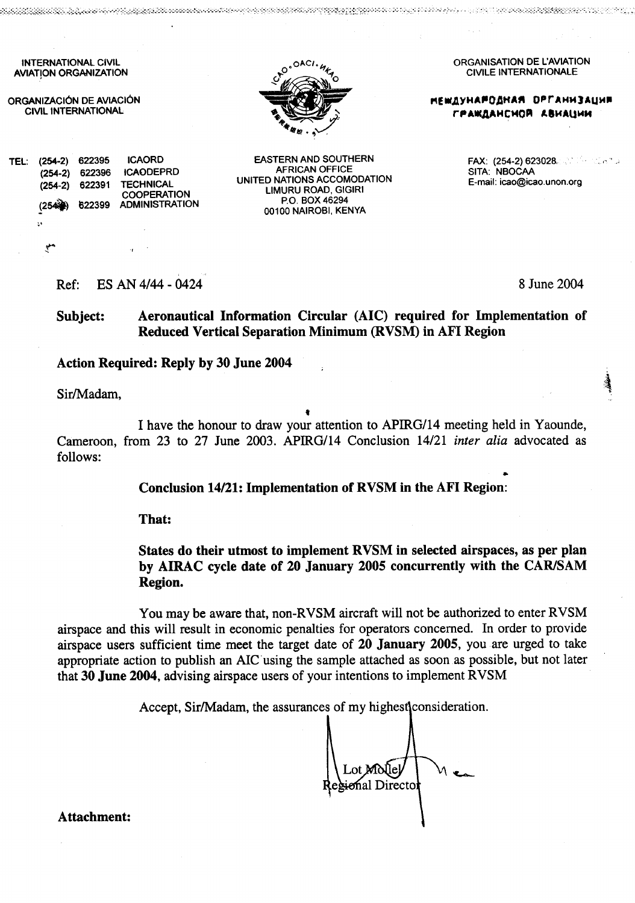**INTERNATIONAL CIVIL AVIATION ORGANIZATION** 

42062282633

ORGANIZÁCIÓN DE AVIACIÓN **CIVIL INTERNATIONAL** 

622396

622391

622399

TEL: (254-2) 622395

 $(254-2)$ 

 $(254-2)$ 

 $(254)$ 

۳

Š,



**EASTERN AND SOUTHERN** 

**AFRICAN OFFICE** 

UNITED NATIONS ACCOMODATION

**LIMURU ROAD, GIGIRI** 

P.O. BOX 46294

00100 NAIROBI, KENYA

van die gegeld van die staan die die staan die gegene van die gegene gegen die gegen die oorlog van die het di

ORGANISATION DE L'AVIATION **CIVILE INTERNATIONALE** 

g at that it is a the property of the property of the state of the state of the state of the state of the state of the state of the state of the state of the state of the state of the state of the state of the state of the

**НЕШДУНАРОДНАЯ ОРГАНИЗАЦИЯ** ГРАЖДАНСНОЙ АВИАЦИИ

> FAX: (254-2) 623028. 2010 1267.2 SITA: NBOCAA E-mail: icao@icao.unon.org

ES AN 4/44 - 0424 Ref:

**ICAORD** 

**TECHNICAL** 

**ICAODEPRD** 

**COOPERATION** 

**ADMINISTRATION** 

8 June 2004

#### Aeronautical Information Circular (AIC) required for Implementation of Subject: Reduced Vertical Separation Minimum (RVSM) in AFI Region

#### **Action Required: Reply by 30 June 2004**

Sir/Madam,

I have the honour to draw your attention to APIRG/14 meeting held in Yaounde, Cameroon, from 23 to 27 June 2003. APIRG/14 Conclusion 14/21 *inter alia* advocated as follows:

Conclusion 14/21: Implementation of RVSM in the AFI Region:

That:

### States do their utmost to implement RVSM in selected airspaces, as per plan by AIRAC cycle date of 20 January 2005 concurrently with the CAR/SAM Region.

You may be aware that, non-RVSM aircraft will not be authorized to enter RVSM airspace and this will result in economic penalties for operators concerned. In order to provide airspace users sufficient time meet the target date of 20 January 2005, you are urged to take appropriate action to publish an AIC using the sample attached as soon as possible, but not later that 30 June 2004, advising airspace users of your intentions to implement RVSM

Accept, Sir/Madam, the assurances of my highest consideration.

ional Directo

**Attachment:**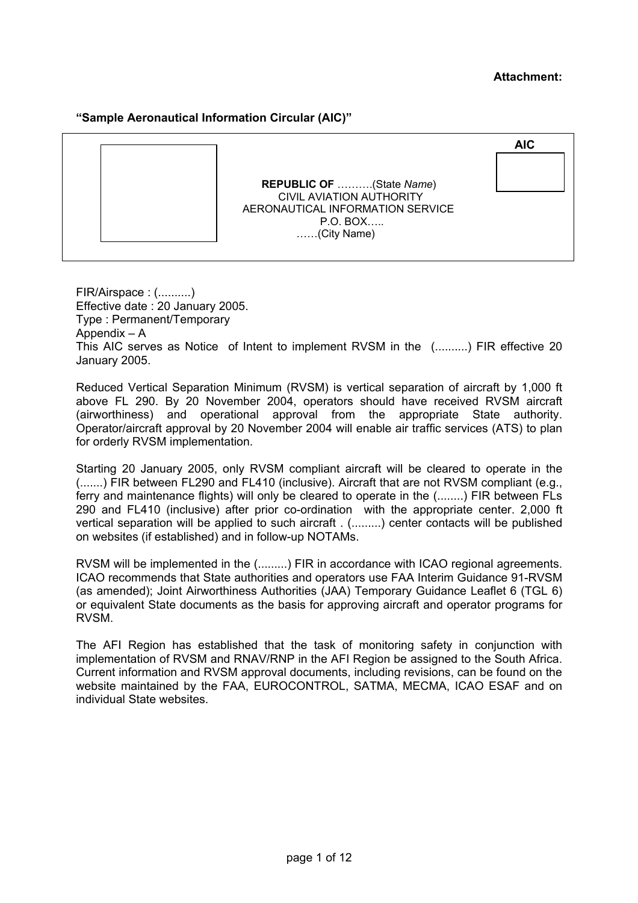#### **Attachment:**

#### **"Sample Aeronautical Information Circular (AIC)"**

|                                                                                                                                    | <b>AIC</b> |
|------------------------------------------------------------------------------------------------------------------------------------|------------|
| <b>REPUBLIC OF </b> (State Name)<br><b>CIVIL AVIATION AUTHORITY</b><br>AERONAUTICAL INFORMATION SERVICE<br>P.O. BOX<br>(City Name) |            |

FIR/Airspace : (..........) Effective date : 20 January 2005. Type : Permanent/Temporary Appendix – A This AIC serves as Notice of Intent to implement RVSM in the (..........) FIR effective 20 January 2005.

Reduced Vertical Separation Minimum (RVSM) is vertical separation of aircraft by 1,000 ft above FL 290. By 20 November 2004, operators should have received RVSM aircraft (airworthiness) and operational approval from the appropriate State authority. Operator/aircraft approval by 20 November 2004 will enable air traffic services (ATS) to plan for orderly RVSM implementation.

Starting 20 January 2005, only RVSM compliant aircraft will be cleared to operate in the (.......) FIR between FL290 and FL410 (inclusive). Aircraft that are not RVSM compliant (e.g., ferry and maintenance flights) will only be cleared to operate in the (........) FIR between FLs 290 and FL410 (inclusive) after prior co-ordination with the appropriate center. 2,000 ft vertical separation will be applied to such aircraft . (.........) center contacts will be published on websites (if established) and in follow-up NOTAMs.

RVSM will be implemented in the (.........) FIR in accordance with ICAO regional agreements. ICAO recommends that State authorities and operators use FAA Interim Guidance 91-RVSM (as amended); Joint Airworthiness Authorities (JAA) Temporary Guidance Leaflet 6 (TGL 6) or equivalent State documents as the basis for approving aircraft and operator programs for RVSM.

The AFI Region has established that the task of monitoring safety in conjunction with implementation of RVSM and RNAV/RNP in the AFI Region be assigned to the South Africa. Current information and RVSM approval documents, including revisions, can be found on the website maintained by the FAA, EUROCONTROL, SATMA, MECMA, ICAO ESAF and on individual State websites.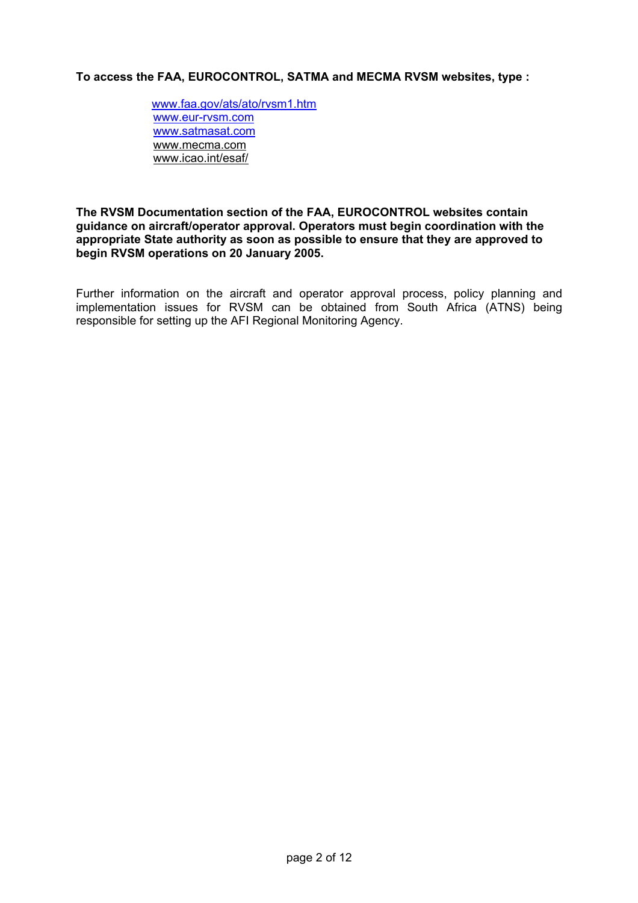#### **To access the FAA, EUROCONTROL, SATMA and MECMA RVSM websites, type :**

[www.faa.gov/ats/ato/rvsm1.htm](http://www.faa.gov/ats/ato/rvsm1.htm) [www.eur-rvsm.com](http://www.eur-rvsm.com/) [www.satmasat.com](http://www.satmasat.com/) [www.mecma.com](http://www.mecma.com/) [www.icao.int/esaf/](http://www.mecma.com/)

#### **The RVSM Documentation section of the FAA, EUROCONTROL websites contain guidance on aircraft/operator approval. Operators must begin coordination with the appropriate State authority as soon as possible to ensure that they are approved to begin RVSM operations on 20 January 2005.**

Further information on the aircraft and operator approval process, policy planning and implementation issues for RVSM can be obtained from South Africa (ATNS) being responsible for setting up the AFI Regional Monitoring Agency.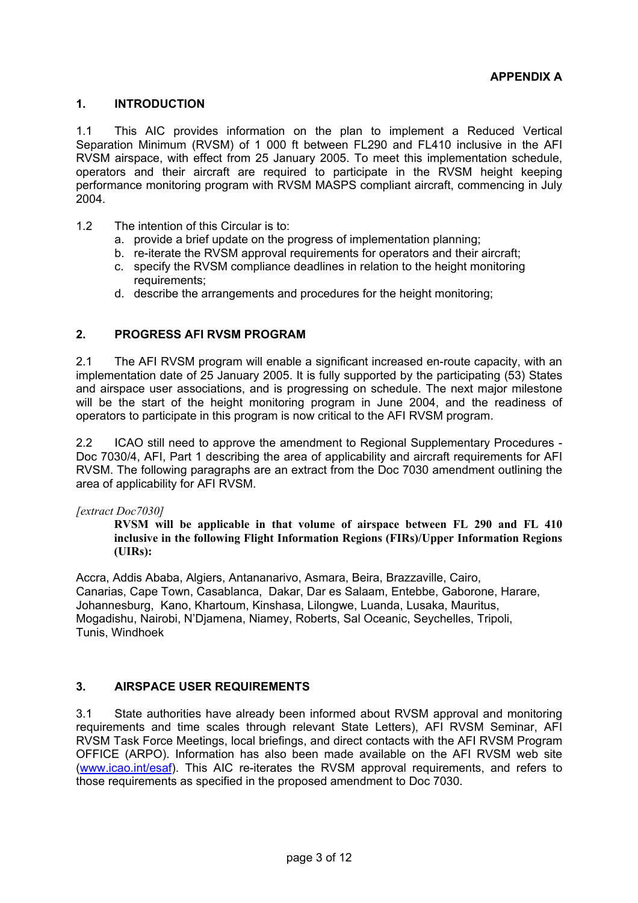#### **1. INTRODUCTION**

1.1 This AIC provides information on the plan to implement a Reduced Vertical Separation Minimum (RVSM) of 1 000 ft between FL290 and FL410 inclusive in the AFI RVSM airspace, with effect from 25 January 2005. To meet this implementation schedule, operators and their aircraft are required to participate in the RVSM height keeping performance monitoring program with RVSM MASPS compliant aircraft, commencing in July 2004.

- 1.2 The intention of this Circular is to:
	- a. provide a brief update on the progress of implementation planning;
	- b. re-iterate the RVSM approval requirements for operators and their aircraft;
	- c. specify the RVSM compliance deadlines in relation to the height monitoring requirements;
	- d. describe the arrangements and procedures for the height monitoring;

#### **2. PROGRESS AFI RVSM PROGRAM**

2.1 The AFI RVSM program will enable a significant increased en-route capacity, with an implementation date of 25 January 2005. It is fully supported by the participating (53) States and airspace user associations, and is progressing on schedule. The next major milestone will be the start of the height monitoring program in June 2004, and the readiness of operators to participate in this program is now critical to the AFI RVSM program.

2.2 ICAO still need to approve the amendment to Regional Supplementary Procedures - Doc 7030/4, AFI, Part 1 describing the area of applicability and aircraft requirements for AFI RVSM. The following paragraphs are an extract from the Doc 7030 amendment outlining the area of applicability for AFI RVSM.

#### *[extract Doc7030]*

**RVSM will be applicable in that volume of airspace between FL 290 and FL 410 inclusive in the following Flight Information Regions (FIRs)/Upper Information Regions (UIRs):** 

Accra, Addis Ababa, Algiers, Antananarivo, Asmara, Beira, Brazzaville, Cairo, Canarias, Cape Town, Casablanca, Dakar, Dar es Salaam, Entebbe, Gaborone, Harare, Johannesburg, Kano, Khartoum, Kinshasa, Lilongwe, Luanda, Lusaka, Mauritus, Mogadishu, Nairobi, N'Djamena, Niamey, Roberts, Sal Oceanic, Seychelles, Tripoli, Tunis, Windhoek

#### **3. AIRSPACE USER REQUIREMENTS**

3.1 State authorities have already been informed about RVSM approval and monitoring requirements and time scales through relevant State Letters), AFI RVSM Seminar, AFI RVSM Task Force Meetings, local briefings, and direct contacts with the AFI RVSM Program OFFICE (ARPO). Information has also been made available on the AFI RVSM web site ([www.icao.int/esaf](http://www.eur-rvsm.com/)). This AIC re-iterates the RVSM approval requirements, and refers to those requirements as specified in the proposed amendment to Doc 7030.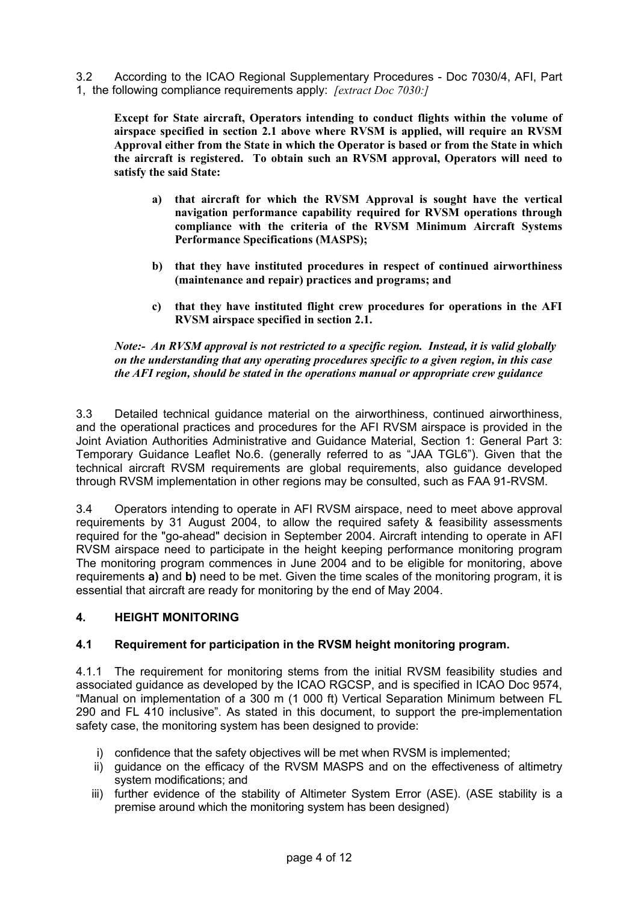3.2 According to the ICAO Regional Supplementary Procedures - Doc 7030/4, AFI, Part 1, the following compliance requirements apply: *[extract Doc 7030:]*

**Except for State aircraft, Operators intending to conduct flights within the volume of airspace specified in section 2.1 above where RVSM is applied, will require an RVSM Approval either from the State in which the Operator is based or from the State in which the aircraft is registered. To obtain such an RVSM approval, Operators will need to satisfy the said State:** 

- **a) that aircraft for which the RVSM Approval is sought have the vertical navigation performance capability required for RVSM operations through compliance with the criteria of the RVSM Minimum Aircraft Systems Performance Specifications (MASPS);**
- **b) that they have instituted procedures in respect of continued airworthiness (maintenance and repair) practices and programs; and**
- **c) that they have instituted flight crew procedures for operations in the AFI RVSM airspace specified in section 2.1.**

*Note:- An RVSM approval is not restricted to a specific region. Instead, it is valid globally on the understanding that any operating procedures specific to a given region, in this case the AFI region, should be stated in the operations manual or appropriate crew guidance* 

3.3 Detailed technical guidance material on the airworthiness, continued airworthiness, and the operational practices and procedures for the AFI RVSM airspace is provided in the Joint Aviation Authorities Administrative and Guidance Material, Section 1: General Part 3: Temporary Guidance Leaflet No.6. (generally referred to as "JAA TGL6"). Given that the technical aircraft RVSM requirements are global requirements, also guidance developed through RVSM implementation in other regions may be consulted, such as FAA 91-RVSM.

3.4 Operators intending to operate in AFI RVSM airspace, need to meet above approval requirements by 31 August 2004, to allow the required safety & feasibility assessments required for the "go-ahead" decision in September 2004. Aircraft intending to operate in AFI RVSM airspace need to participate in the height keeping performance monitoring program The monitoring program commences in June 2004 and to be eligible for monitoring, above requirements **a)** and **b)** need to be met. Given the time scales of the monitoring program, it is essential that aircraft are ready for monitoring by the end of May 2004.

#### **4. HEIGHT MONITORING**

#### **4.1 Requirement for participation in the RVSM height monitoring program.**

4.1.1 The requirement for monitoring stems from the initial RVSM feasibility studies and associated guidance as developed by the ICAO RGCSP, and is specified in ICAO Doc 9574, "Manual on implementation of a 300 m (1 000 ft) Vertical Separation Minimum between FL 290 and FL 410 inclusive". As stated in this document, to support the pre-implementation safety case, the monitoring system has been designed to provide:

- i) confidence that the safety objectives will be met when RVSM is implemented;
- ii) guidance on the efficacy of the RVSM MASPS and on the effectiveness of altimetry system modifications; and
- iii) further evidence of the stability of Altimeter System Error (ASE). (ASE stability is a premise around which the monitoring system has been designed)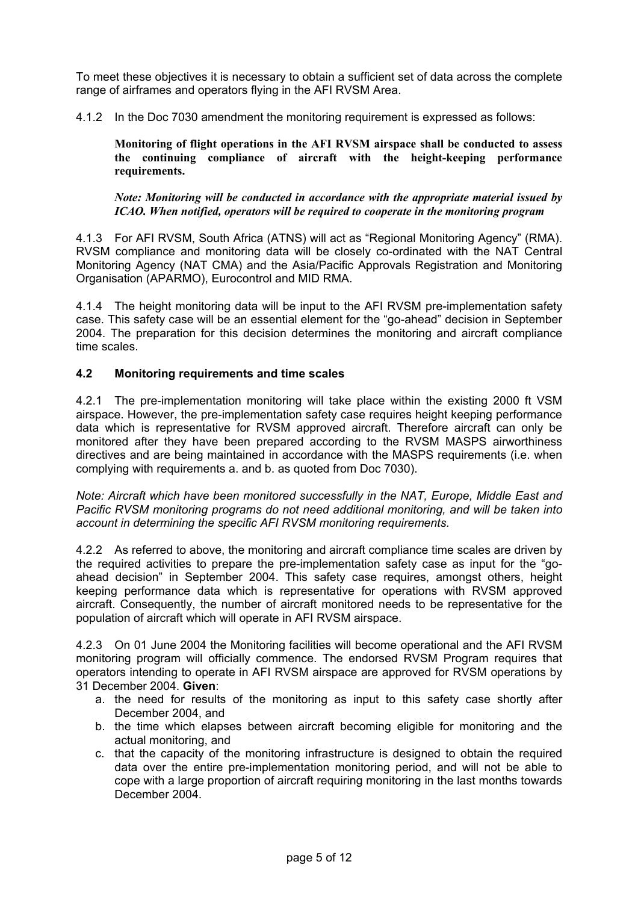To meet these objectives it is necessary to obtain a sufficient set of data across the complete range of airframes and operators flying in the AFI RVSM Area.

4.1.2 In the Doc 7030 amendment the monitoring requirement is expressed as follows:

**Monitoring of flight operations in the AFI RVSM airspace shall be conducted to assess the continuing compliance of aircraft with the height-keeping performance requirements.** 

*Note: Monitoring will be conducted in accordance with the appropriate material issued by ICAO. When notified, operators will be required to cooperate in the monitoring program* 

4.1.3 For AFI RVSM, South Africa (ATNS) will act as "Regional Monitoring Agency" (RMA). RVSM compliance and monitoring data will be closely co-ordinated with the NAT Central Monitoring Agency (NAT CMA) and the Asia/Pacific Approvals Registration and Monitoring Organisation (APARMO), Eurocontrol and MID RMA.

4.1.4 The height monitoring data will be input to the AFI RVSM pre-implementation safety case. This safety case will be an essential element for the "go-ahead" decision in September 2004. The preparation for this decision determines the monitoring and aircraft compliance time scales.

#### **4.2 Monitoring requirements and time scales**

4.2.1 The pre-implementation monitoring will take place within the existing 2000 ft VSM airspace. However, the pre-implementation safety case requires height keeping performance data which is representative for RVSM approved aircraft. Therefore aircraft can only be monitored after they have been prepared according to the RVSM MASPS airworthiness directives and are being maintained in accordance with the MASPS requirements (i.e. when complying with requirements a. and b. as quoted from Doc 7030).

*Note: Aircraft which have been monitored successfully in the NAT, Europe, Middle East and Pacific RVSM monitoring programs do not need additional monitoring, and will be taken into account in determining the specific AFI RVSM monitoring requirements.*

4.2.2 As referred to above, the monitoring and aircraft compliance time scales are driven by the required activities to prepare the pre-implementation safety case as input for the "goahead decision" in September 2004. This safety case requires, amongst others, height keeping performance data which is representative for operations with RVSM approved aircraft. Consequently, the number of aircraft monitored needs to be representative for the population of aircraft which will operate in AFI RVSM airspace.

4.2.3 On 01 June 2004 the Monitoring facilities will become operational and the AFI RVSM monitoring program will officially commence. The endorsed RVSM Program requires that operators intending to operate in AFI RVSM airspace are approved for RVSM operations by 31 December 2004. **Given**:

- a. the need for results of the monitoring as input to this safety case shortly after December 2004, and
- b. the time which elapses between aircraft becoming eligible for monitoring and the actual monitoring, and
- c. that the capacity of the monitoring infrastructure is designed to obtain the required data over the entire pre-implementation monitoring period, and will not be able to cope with a large proportion of aircraft requiring monitoring in the last months towards December 2004.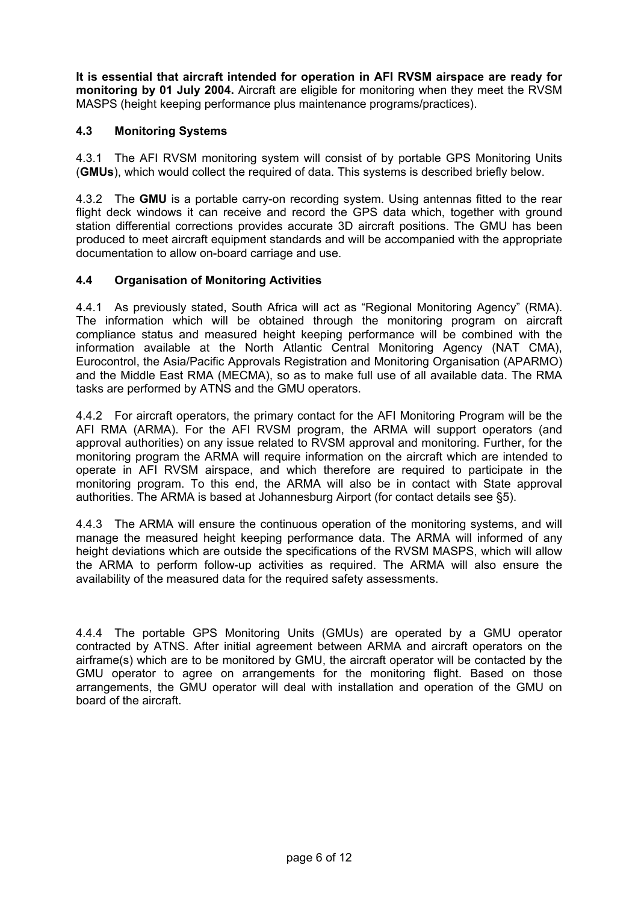**It is essential that aircraft intended for operation in AFI RVSM airspace are ready for monitoring by 01 July 2004.** Aircraft are eligible for monitoring when they meet the RVSM MASPS (height keeping performance plus maintenance programs/practices).

# **4.3 Monitoring Systems**

4.3.1 The AFI RVSM monitoring system will consist of by portable GPS Monitoring Units (**GMUs**), which would collect the required of data. This systems is described briefly below.

4.3.2 The **GMU** is a portable carry-on recording system. Using antennas fitted to the rear flight deck windows it can receive and record the GPS data which, together with ground station differential corrections provides accurate 3D aircraft positions. The GMU has been produced to meet aircraft equipment standards and will be accompanied with the appropriate documentation to allow on-board carriage and use.

# **4.4 Organisation of Monitoring Activities**

4.4.1 As previously stated, South Africa will act as "Regional Monitoring Agency" (RMA). The information which will be obtained through the monitoring program on aircraft compliance status and measured height keeping performance will be combined with the information available at the North Atlantic Central Monitoring Agency (NAT CMA), Eurocontrol, the Asia/Pacific Approvals Registration and Monitoring Organisation (APARMO) and the Middle East RMA (MECMA), so as to make full use of all available data. The RMA tasks are performed by ATNS and the GMU operators.

4.4.2 For aircraft operators, the primary contact for the AFI Monitoring Program will be the AFI RMA (ARMA). For the AFI RVSM program, the ARMA will support operators (and approval authorities) on any issue related to RVSM approval and monitoring. Further, for the monitoring program the ARMA will require information on the aircraft which are intended to operate in AFI RVSM airspace, and which therefore are required to participate in the monitoring program. To this end, the ARMA will also be in contact with State approval authorities. The ARMA is based at Johannesburg Airport (for contact details see §5).

4.4.3 The ARMA will ensure the continuous operation of the monitoring systems, and will manage the measured height keeping performance data. The ARMA will informed of any height deviations which are outside the specifications of the RVSM MASPS, which will allow the ARMA to perform follow-up activities as required. The ARMA will also ensure the availability of the measured data for the required safety assessments.

4.4.4 The portable GPS Monitoring Units (GMUs) are operated by a GMU operator contracted by ATNS. After initial agreement between ARMA and aircraft operators on the airframe(s) which are to be monitored by GMU, the aircraft operator will be contacted by the GMU operator to agree on arrangements for the monitoring flight. Based on those arrangements, the GMU operator will deal with installation and operation of the GMU on board of the aircraft.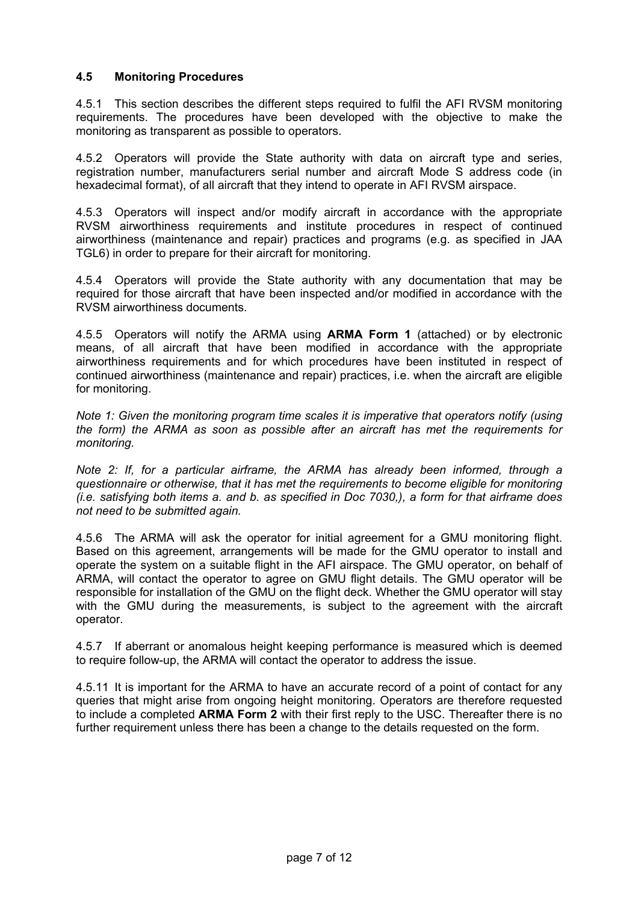### **4.5 Monitoring Procedures**

4.5.1 This section describes the different steps required to fulfil the AFI RVSM monitoring requirements. The procedures have been developed with the objective to make the monitoring as transparent as possible to operators.

4.5.2 Operators will provide the State authority with data on aircraft type and series, registration number, manufacturers serial number and aircraft Mode S address code (in hexadecimal format), of all aircraft that they intend to operate in AFI RVSM airspace.

4.5.3 Operators will inspect and/or modify aircraft in accordance with the appropriate RVSM airworthiness requirements and institute procedures in respect of continued airworthiness (maintenance and repair) practices and programs (e.g. as specified in JAA TGL6) in order to prepare for their aircraft for monitoring.

4.5.4 Operators will provide the State authority with any documentation that may be required for those aircraft that have been inspected and/or modified in accordance with the RVSM airworthiness documents.

4.5.5 Operators will notify the ARMA using **ARMA Form 1** (attached) or by electronic means, of all aircraft that have been modified in accordance with the appropriate airworthiness requirements and for which procedures have been instituted in respect of continued airworthiness (maintenance and repair) practices, i.e. when the aircraft are eligible for monitoring.

*Note 1: Given the monitoring program time scales it is imperative that operators notify (using the form) the ARMA as soon as possible after an aircraft has met the requirements for monitoring.* 

*Note 2: If, for a particular airframe, the ARMA has already been informed, through a questionnaire or otherwise, that it has met the requirements to become eligible for monitoring (i.e. satisfying both items a. and b. as specified in Doc 7030,), a form for that airframe does not need to be submitted again.* 

4.5.6 The ARMA will ask the operator for initial agreement for a GMU monitoring flight. Based on this agreement, arrangements will be made for the GMU operator to install and operate the system on a suitable flight in the AFI airspace. The GMU operator, on behalf of ARMA, will contact the operator to agree on GMU flight details. The GMU operator will be responsible for installation of the GMU on the flight deck. Whether the GMU operator will stay with the GMU during the measurements, is subject to the agreement with the aircraft operator.

4.5.7 If aberrant or anomalous height keeping performance is measured which is deemed to require follow-up, the ARMA will contact the operator to address the issue.

4.5.11 It is important for the ARMA to have an accurate record of a point of contact for any queries that might arise from ongoing height monitoring. Operators are therefore requested to include a completed **ARMA Form 2** with their first reply to the USC. Thereafter there is no further requirement unless there has been a change to the details requested on the form.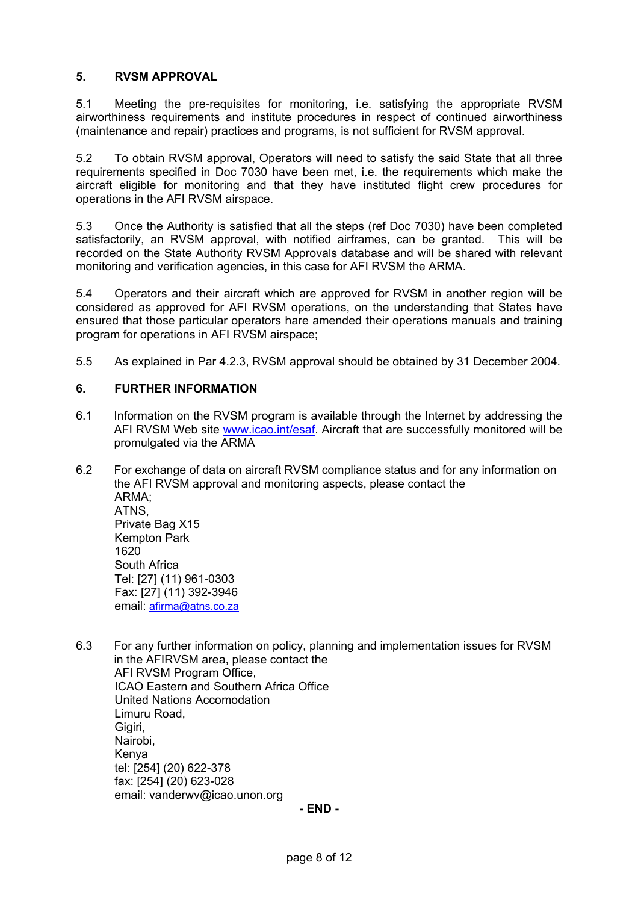# **5. RVSM APPROVAL**

5.1 Meeting the pre-requisites for monitoring, i.e. satisfying the appropriate RVSM airworthiness requirements and institute procedures in respect of continued airworthiness (maintenance and repair) practices and programs, is not sufficient for RVSM approval.

5.2 To obtain RVSM approval, Operators will need to satisfy the said State that all three requirements specified in Doc 7030 have been met, i.e. the requirements which make the aircraft eligible for monitoring and that they have instituted flight crew procedures for operations in the AFI RVSM airspace.

5.3 Once the Authority is satisfied that all the steps (ref Doc 7030) have been completed satisfactorily, an RVSM approval, with notified airframes, can be granted. This will be recorded on the State Authority RVSM Approvals database and will be shared with relevant monitoring and verification agencies, in this case for AFI RVSM the ARMA.

5.4 Operators and their aircraft which are approved for RVSM in another region will be considered as approved for AFI RVSM operations, on the understanding that States have ensured that those particular operators hare amended their operations manuals and training program for operations in AFI RVSM airspace;

5.5 As explained in Par 4.2.3, RVSM approval should be obtained by 31 December 2004.

### **6. FURTHER INFORMATION**

- 6.1 Information on the RVSM program is available through the Internet by addressing the AFI RVSM Web site [www.icao.int/esaf.](http://www.eur-rvsm.com/) Aircraft that are successfully monitored will be promulgated via the ARMA
- 6.2 For exchange of data on aircraft RVSM compliance status and for any information on the AFI RVSM approval and monitoring aspects, please contact the ARMA; ATNS, Private Bag X15 Kempton Park 1620 South Africa Tel: [27] (11) 961-0303 Fax: [27] (11) 392-3946 email: afirma@atns.co.za
- 6.3 For any further information on policy, planning and implementation issues for RVSM in the AFIRVSM area, please contact the AFI RVSM Program Office, ICAO Eastern and Southern Africa Office United Nations Accomodation Limuru Road, Giairi. Nairobi, Kenya tel: [254] (20) 622-378 fax: [254] (20) 623-028 email: vanderwv@icao.unon.org

**- END -**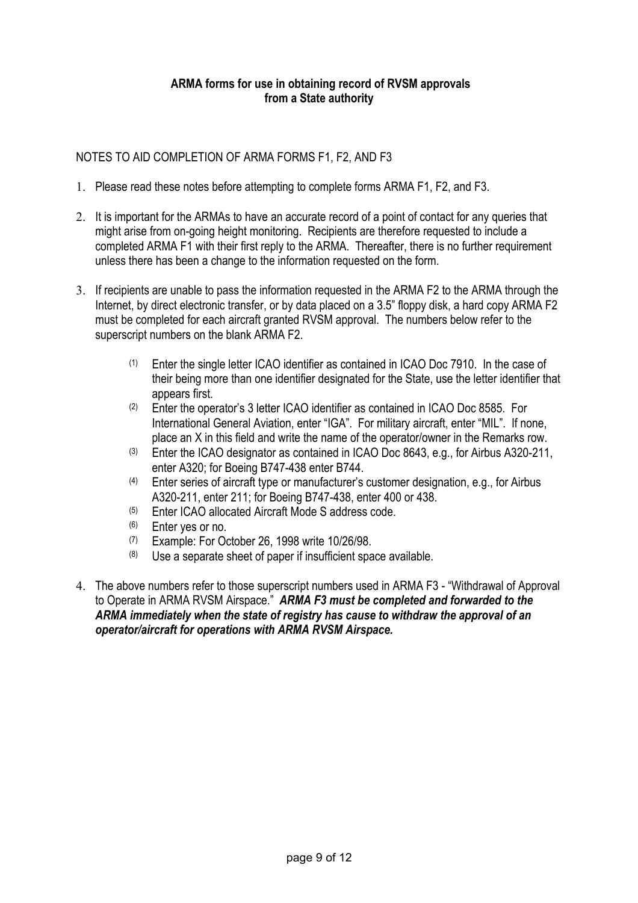# **ARMA forms for use in obtaining record of RVSM approvals from a State authority**

# NOTES TO AID COMPLETION OF ARMA FORMS F1, F2, AND F3

- 1. Please read these notes before attempting to complete forms ARMA F1, F2, and F3.
- 2. It is important for the ARMAs to have an accurate record of a point of contact for any queries that might arise from on-going height monitoring. Recipients are therefore requested to include a completed ARMA F1 with their first reply to the ARMA. Thereafter, there is no further requirement unless there has been a change to the information requested on the form.
- 3. If recipients are unable to pass the information requested in the ARMA F2 to the ARMA through the Internet, by direct electronic transfer, or by data placed on a 3.5" floppy disk, a hard copy ARMA F2 must be completed for each aircraft granted RVSM approval. The numbers below refer to the superscript numbers on the blank ARMA F2.
	- (1) Enter the single letter ICAO identifier as contained in ICAO Doc 7910. In the case of their being more than one identifier designated for the State, use the letter identifier that appears first.
	- (2) Enter the operator's 3 letter ICAO identifier as contained in ICAO Doc 8585. For International General Aviation, enter "IGA". For military aircraft, enter "MIL". If none, place an X in this field and write the name of the operator/owner in the Remarks row.
	- (3) Enter the ICAO designator as contained in ICAO Doc 8643, e.g., for Airbus A320-211, enter A320; for Boeing B747-438 enter B744.
	- (4) Enter series of aircraft type or manufacturer's customer designation, e.g., for Airbus A320-211, enter 211; for Boeing B747-438, enter 400 or 438.
	- (5) Enter ICAO allocated Aircraft Mode S address code.
	-
	- (6) Enter yes or no.<br>(7) Example: For October 26, 1998 write 10/26/98.
	- $(8)$  Use a separate sheet of paper if insufficient space available.
- 4. The above numbers refer to those superscript numbers used in ARMA F3 "Withdrawal of Approval to Operate in ARMA RVSM Airspace." *ARMA F3 must be completed and forwarded to the ARMA immediately when the state of registry has cause to withdraw the approval of an operator/aircraft for operations with ARMA RVSM Airspace.*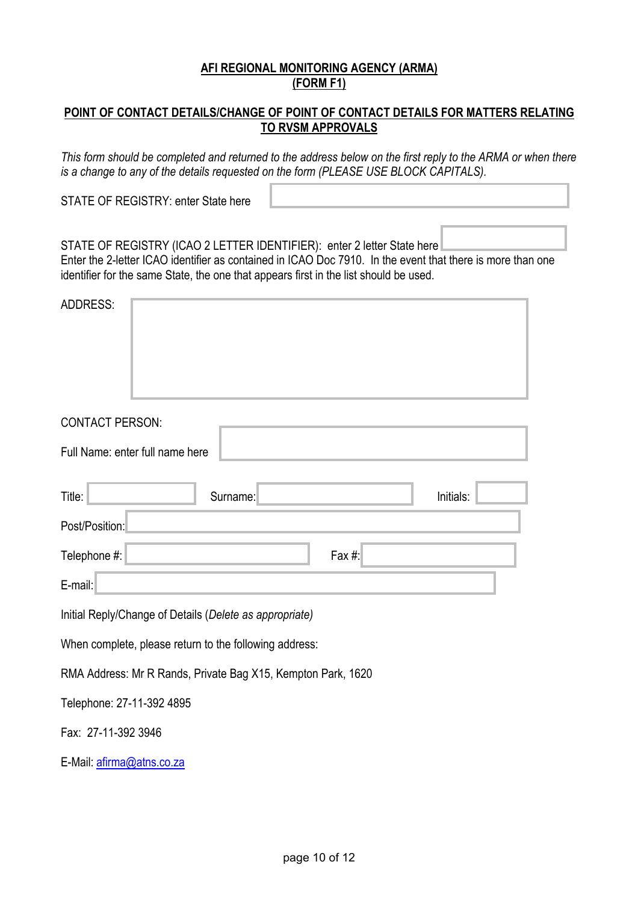# **AFI REGIONAL MONITORING AGENCY (ARMA) (FORM F1)**

# **POINT OF CONTACT DETAILS/CHANGE OF POINT OF CONTACT DETAILS FOR MATTERS RELATING TO RVSM APPROVALS**

*This form should be completed and returned to the address below on the first reply to the ARMA or when there is a change to any of the details requested on the form (PLEASE USE BLOCK CAPITALS).* STATE OF REGISTRY: enter State here STATE OF REGISTRY (ICAO 2 LETTER IDENTIFIER): enter 2 letter State here Enter the 2-letter ICAO identifier as contained in ICAO Doc 7910. In the event that there is more than one identifier for the same State, the one that appears first in the list should be used.  $ADDRESS$ CONTACT PERSON: Full Name: enter full name here Title: enter the Surname: enter surname: enter surname here in itials: Post/Position: Telephone #: enter fax here  $\frac{4}{3}$ : E-mail: Initial Reply/Change of Details (*Delete as appropriate)*  When complete, please return to the following address: RMA Address: Mr R Rands, Private Bag X15, Kempton Park, 1620 Telephone: 27-11-392 4895

Fax: 27-11-392 3946

E-Mail: [afirma@atns.co.za](mailto:afirma@atns.co.za)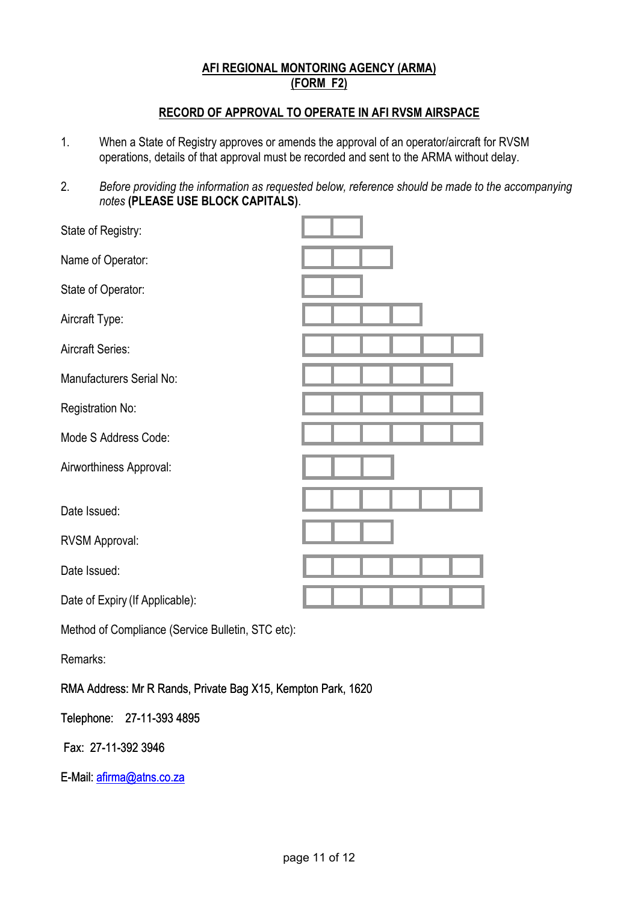# **AFI REGIONAL MONTORING AGENCY (ARMA) (FORM F2)**

# **RECORD OF APPROVAL TO OPERATE IN AFI RVSM AIRSPACE**

- 1. When a State of Registry approves or amends the approval of an operator/aircraft for RVSM operations, details of that approval must be recorded and sent to the ARMA without delay.
- 2. *Before providing the information as requested below, reference should be made to the accompanying notes* **(PLEASE USE BLOCK CAPITALS)**.

| State of Registry:              |  |
|---------------------------------|--|
| Name of Operator:               |  |
| State of Operator:              |  |
| Aircraft Type:                  |  |
| Aircraft Series:                |  |
| Manufacturers Serial No:        |  |
| Registration No:                |  |
| Mode S Address Code:            |  |
| Airworthiness Approval:         |  |
| Date Issued:                    |  |
| <b>RVSM Approval:</b>           |  |
| Date Issued:                    |  |
| Date of Expiry (If Applicable): |  |
|                                 |  |

Method of Compliance (Service Bulletin, STC etc):

Remarks:

RMA Address: Mr R Rands, Private Bag X15, Kempton Park, 1620

Telephone: 27-11-393 4895

Fax: 27-11-392 3946

E-Mail: [afirma@atns.co.za](mailto:afirma@atns.co.za)